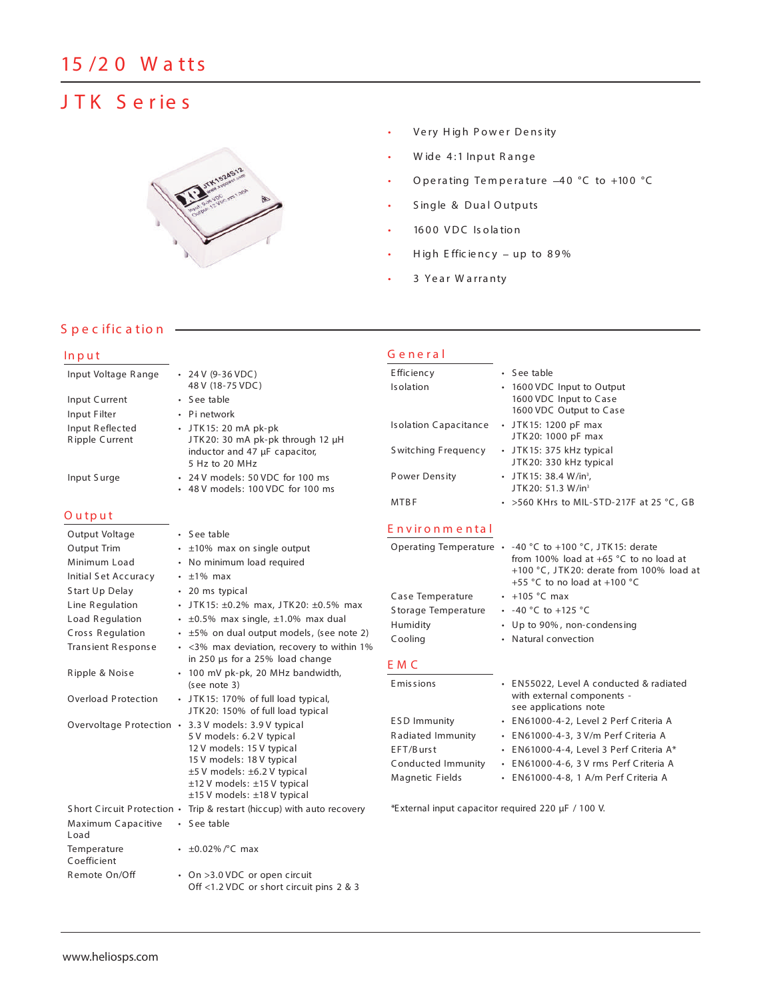# **J T K S e r ie s**



- Very High Power Density
- Wide 4:1 Input Range
- Operating Temperature -40 °C to +100 °C
- S ingle & Dua l O utputs
- 1600 VDC Isolation
- High Efficiency up to 89%
- 3 Year Warranty

**G e n e r a l**

# **S p e c ific a tio n**

# **In p u t**

| Input Voltage Range               | $\cdot$ 24 V (9-36 VDC)                                        | Efficiency                   | • See table                                                    |
|-----------------------------------|----------------------------------------------------------------|------------------------------|----------------------------------------------------------------|
|                                   | 48 V (18-75 VDC)                                               | Isolation                    | • 1600 VDC Input to Output                                     |
| Input Current                     | $\cdot$ See table                                              |                              | 1600 VDC Input to Case                                         |
| Input Filter                      | • Pi network                                                   |                              | 1600 VDC Output to Case                                        |
| Input Reflected<br>Ripple Current | $\cdot$ JTK15: 20 mA pk-pk<br>JTK20: 30 mA pk-pk through 12 µH | <b>Isolation Capacitance</b> | $\cdot$ JTK15: 1200 pF max<br>JTK20: 1000 pF max               |
|                                   | inductor and 47 µF capacitor,<br>5 Hz to 20 MHz                | Switching Frequency          | • JTK15: 375 kHz typical<br>JTK20: 330 kHz typical             |
| Input Surge                       | • 24 V models: 50 VDC for 100 ms                               | <b>Power Density</b>         | • JTK15: 38.4 W/in <sup>3</sup> .                              |
|                                   | • 48 V models: 100 VDC for 100 ms                              |                              | JTK20: 51.3 W/in <sup>3</sup>                                  |
|                                   |                                                                | <b>MTBF</b>                  | $\cdot$ >560 KHrs to MIL-STD-217F at 25 °C, GB                 |
| $O$ utput                         |                                                                |                              |                                                                |
| Output Voltage                    | • See table                                                    | Environmental                |                                                                |
| Output Trim                       | $\cdot$ ±10% max on single output                              |                              | Operating Temperature $\cdot$ -40 °C to +100 °C, JTK15: derate |
| Minimum Load                      | • No minimum load required                                     |                              | from 100% load at $+65$ °C to no load at                       |
| Initial Set Accuracy              | $\cdot$ $\pm$ 1% max                                           |                              | +100 °C, JTK20: derate from 100% load at                       |
| Start Up Delay                    | • 20 ms typical                                                |                              | +55 °C to no load at +100 °C                                   |
| Line Regulation                   | • JTK15: $\pm 0.2\%$ max, JTK20: $\pm 0.5\%$ max               | Case Temperature             | $\cdot$ +105 °C max                                            |
| Load Regulation                   | $\cdot$ ±0.5% max single, ±1.0% max dual                       | Storage Temperature          | • $-40$ °C to $+125$ °C                                        |
| Cross Regulation                  | $\cdot$ ±5% on dual output models, (see note 2)                | Humidity                     | • Up to 90%, non-condensing                                    |
| Transient Response                | • <3% max deviation, recovery to within 1%                     | Cooling                      | • Natural convection                                           |
|                                   | in 250 µs for a 25% load change                                |                              |                                                                |
| Ripple & Noise                    | • 100 mV pk-pk, 20 MHz bandwidth,                              | E M C                        |                                                                |
|                                   |                                                                |                              |                                                                |

| $111$ $P$ $P1C$ $Q1100J$   | $100$ iiiv propriety zo ivitiz barraviatit,<br>(see note 3)                                                                                                                                                                                                            |
|----------------------------|------------------------------------------------------------------------------------------------------------------------------------------------------------------------------------------------------------------------------------------------------------------------|
| Overload Protection        | • JTK15: 170% of full load typical,<br>JTK20: 150% of full load typical                                                                                                                                                                                                |
|                            | Overvoltage Protection • 3.3 V models: 3.9 V typical<br>5 V models: 6.2 V typical<br>12 V models: 15 V typical<br>15 V models: 18 V typical<br>$\pm$ 5 V models: $\pm$ 6.2 V typical<br>$\pm$ 12 V models: $\pm$ 15 V typical<br>$\pm$ 15 V models: $\pm$ 18 V typical |
| Short Circuit Protection . | Trip & restart (hiccup) with auto recovery                                                                                                                                                                                                                             |
| Maximum Capacitive<br>Load | $\cdot$ See table                                                                                                                                                                                                                                                      |
| Temperature<br>Coefficient | • $\pm 0.02\%$ /°C max                                                                                                                                                                                                                                                 |
| Remote On/Off              | • On >3.0 VDC or open circuit<br>Off <1.2 VDC or short circuit pins 2 & 3                                                                                                                                                                                              |

### Emissions • EN55022, Level A conducted & radiated with external components see applications note ESD Immunity • EN61000-4-2, Level 2 Perf Criteria A R adiated Immunity • EN61000-4-3, 3 V/m Perf Criteria A EFT/Burst • EN61000-4-4, Level 3 Perf Criteria A\* Conducted Immunity • EN61000-4-6, 3 V rms Perf Criteria A Magnetic Fields • EN61000-4-8, 1 A/m Perf Criteria A

*\*External input capacitor required 220 µF / 100 V.*